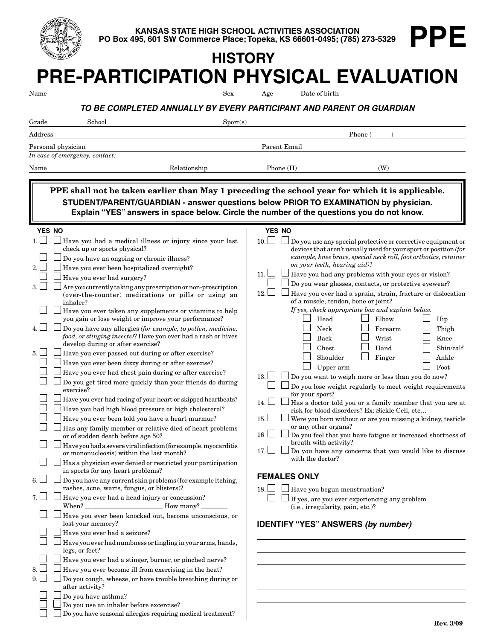

**KANSAS STATE HIGH SCHOOL ACTIVITIES ASSOCIATION PO Box 495, 601 SW Commerce Place; Topeka, KS 66601-0495; (785) 273-5329**

# **PRE-PARTICIPATION PHYSICAL EVALUATION HISTORY**

| Name           |                                                                                                                                                                                                                                                                                                                                                                                                                                                                                                                                                                                                                                                                                                                                                                                                                                                                                                                                                                                                                                                                                                                                                                                                                                                                                               | Sex                                                                  | Age                                                   | Date of birth                                                                                     |                                                                                              |                                                                                                                                                                                                                                                                                                                         |                                                                                                                                                                                                                                                                                                                                                                                                                                                                                                                                                                                                                                            |  |
|----------------|-----------------------------------------------------------------------------------------------------------------------------------------------------------------------------------------------------------------------------------------------------------------------------------------------------------------------------------------------------------------------------------------------------------------------------------------------------------------------------------------------------------------------------------------------------------------------------------------------------------------------------------------------------------------------------------------------------------------------------------------------------------------------------------------------------------------------------------------------------------------------------------------------------------------------------------------------------------------------------------------------------------------------------------------------------------------------------------------------------------------------------------------------------------------------------------------------------------------------------------------------------------------------------------------------|----------------------------------------------------------------------|-------------------------------------------------------|---------------------------------------------------------------------------------------------------|----------------------------------------------------------------------------------------------|-------------------------------------------------------------------------------------------------------------------------------------------------------------------------------------------------------------------------------------------------------------------------------------------------------------------------|--------------------------------------------------------------------------------------------------------------------------------------------------------------------------------------------------------------------------------------------------------------------------------------------------------------------------------------------------------------------------------------------------------------------------------------------------------------------------------------------------------------------------------------------------------------------------------------------------------------------------------------------|--|
|                |                                                                                                                                                                                                                                                                                                                                                                                                                                                                                                                                                                                                                                                                                                                                                                                                                                                                                                                                                                                                                                                                                                                                                                                                                                                                                               | TO BE COMPLETED ANNUALLY BY EVERY PARTICIPANT AND PARENT OR GUARDIAN |                                                       |                                                                                                   |                                                                                              |                                                                                                                                                                                                                                                                                                                         |                                                                                                                                                                                                                                                                                                                                                                                                                                                                                                                                                                                                                                            |  |
| Grade          | School                                                                                                                                                                                                                                                                                                                                                                                                                                                                                                                                                                                                                                                                                                                                                                                                                                                                                                                                                                                                                                                                                                                                                                                                                                                                                        | Sports)                                                              |                                                       |                                                                                                   |                                                                                              |                                                                                                                                                                                                                                                                                                                         |                                                                                                                                                                                                                                                                                                                                                                                                                                                                                                                                                                                                                                            |  |
| Address        |                                                                                                                                                                                                                                                                                                                                                                                                                                                                                                                                                                                                                                                                                                                                                                                                                                                                                                                                                                                                                                                                                                                                                                                                                                                                                               |                                                                      |                                                       |                                                                                                   | Phone (                                                                                      |                                                                                                                                                                                                                                                                                                                         |                                                                                                                                                                                                                                                                                                                                                                                                                                                                                                                                                                                                                                            |  |
|                | Personal physician                                                                                                                                                                                                                                                                                                                                                                                                                                                                                                                                                                                                                                                                                                                                                                                                                                                                                                                                                                                                                                                                                                                                                                                                                                                                            |                                                                      | Parent Email                                          |                                                                                                   |                                                                                              |                                                                                                                                                                                                                                                                                                                         |                                                                                                                                                                                                                                                                                                                                                                                                                                                                                                                                                                                                                                            |  |
|                | In case of emergency, contact:                                                                                                                                                                                                                                                                                                                                                                                                                                                                                                                                                                                                                                                                                                                                                                                                                                                                                                                                                                                                                                                                                                                                                                                                                                                                |                                                                      |                                                       |                                                                                                   |                                                                                              |                                                                                                                                                                                                                                                                                                                         |                                                                                                                                                                                                                                                                                                                                                                                                                                                                                                                                                                                                                                            |  |
| Name           |                                                                                                                                                                                                                                                                                                                                                                                                                                                                                                                                                                                                                                                                                                                                                                                                                                                                                                                                                                                                                                                                                                                                                                                                                                                                                               | Relationship                                                         | Phone $(H)$                                           |                                                                                                   |                                                                                              | (W)                                                                                                                                                                                                                                                                                                                     |                                                                                                                                                                                                                                                                                                                                                                                                                                                                                                                                                                                                                                            |  |
|                |                                                                                                                                                                                                                                                                                                                                                                                                                                                                                                                                                                                                                                                                                                                                                                                                                                                                                                                                                                                                                                                                                                                                                                                                                                                                                               |                                                                      |                                                       |                                                                                                   |                                                                                              |                                                                                                                                                                                                                                                                                                                         |                                                                                                                                                                                                                                                                                                                                                                                                                                                                                                                                                                                                                                            |  |
|                | PPE shall not be taken earlier than May 1 preceding the school year for which it is applicable.<br>STUDENT/PARENT/GUARDIAN - answer questions below PRIOR TO EXAMINATION by physician.<br>Explain "YES" answers in space below. Circle the number of the questions you do not know.                                                                                                                                                                                                                                                                                                                                                                                                                                                                                                                                                                                                                                                                                                                                                                                                                                                                                                                                                                                                           |                                                                      |                                                       |                                                                                                   |                                                                                              |                                                                                                                                                                                                                                                                                                                         |                                                                                                                                                                                                                                                                                                                                                                                                                                                                                                                                                                                                                                            |  |
| <b>YES NO</b>  |                                                                                                                                                                                                                                                                                                                                                                                                                                                                                                                                                                                                                                                                                                                                                                                                                                                                                                                                                                                                                                                                                                                                                                                                                                                                                               |                                                                      | <b>YES NO</b>                                         |                                                                                                   |                                                                                              |                                                                                                                                                                                                                                                                                                                         |                                                                                                                                                                                                                                                                                                                                                                                                                                                                                                                                                                                                                                            |  |
| 2.<br>3.<br>5. | Have you had a medical illness or injury since your last<br>check up or sports physical?<br>Do you have an ongoing or chronic illness?<br>Have you ever been hospitalized overnight?<br>Have you ever had surgery?<br>Are you currently taking any prescription or non-prescription<br>(over-the-counter) medications or pills or using an<br>inhaler?<br>Have you ever taken any supplements or vitamins to help<br>you gain or lose weight or improve your performance?<br>Do you have any allergies (for example, to pollen, medicine,<br>food, or stinging insects)? Have you ever had a rash or hives<br>develop during or after exercise?<br>Have you ever passed out during or after exercise?<br>Have you ever been dizzy during or after exercise?<br>Have you ever had chest pain during or after exercise?<br>Do you get tired more quickly than your friends do during<br>exercise?<br>Have you ever had racing of your heart or skipped heartbeats?<br>Have you had high blood pressure or high cholesterol?<br>Have you ever been told you have a heart murmur?<br>Has any family member or relative died of heart problems<br>or of sudden death before age 50?<br>Have you had a severe viral infection (for example, myocarditis<br>or mononucleosis) within the last month? |                                                                      | 10.1<br>11.<br>12.<br>13.<br>14.<br>15.<br>16<br>17.1 | Head<br>Neck<br>Back<br>Chest<br>for your sport?<br>or any other organs?<br>breath with activity? | on your teeth, hearing aid)?<br>of a muscle, tendon, bone or joint?<br>Shoulder<br>Upper arm | Have you had any problems with your eyes or vision?<br>Do you wear glasses, contacts, or protective eyewear?<br>If yes, check appropriate box and explain below.<br>Elbow<br>Forearm<br>Wrist<br>Hand<br>Finger<br>Do you want to weigh more or less than you do now?<br>risk for blood disorders? Ex: Sickle Cell, etc | Do you use any special protective or corrective equipment or<br>devices that aren't usually used for your sport or position (for<br>example, knee brace, special neck roll, foot orthotics, retainer<br>Have you ever had a sprain, strain, fracture or dislocation<br>Hip<br>Thigh<br>Knee<br>Shin/calf<br>Ankle<br>Foot<br>Do you lose weight regularly to meet weight requirements<br>Has a doctor told you or a family member that you are at<br>Were you born without or are you missing a kidney, testicle<br>Do you feel that you have fatigue or increased shortness of<br>Do you have any concerns that you would like to discuss |  |
|                | Has a physician ever denied or restricted your participation<br>in sports for any heart problems?                                                                                                                                                                                                                                                                                                                                                                                                                                                                                                                                                                                                                                                                                                                                                                                                                                                                                                                                                                                                                                                                                                                                                                                             |                                                                      |                                                       | with the doctor?<br><b>FEMALES ONLY</b>                                                           |                                                                                              |                                                                                                                                                                                                                                                                                                                         |                                                                                                                                                                                                                                                                                                                                                                                                                                                                                                                                                                                                                                            |  |
| 6.             | Do you have any current skin problems (for example itching,<br>rashes, acne, warts, fungus, or blisters)?                                                                                                                                                                                                                                                                                                                                                                                                                                                                                                                                                                                                                                                                                                                                                                                                                                                                                                                                                                                                                                                                                                                                                                                     |                                                                      | $18. \Box$                                            | $\Box$ Have you begun menstruation?                                                               |                                                                                              |                                                                                                                                                                                                                                                                                                                         |                                                                                                                                                                                                                                                                                                                                                                                                                                                                                                                                                                                                                                            |  |
| 7.             | Have you ever had a head injury or concussion?                                                                                                                                                                                                                                                                                                                                                                                                                                                                                                                                                                                                                                                                                                                                                                                                                                                                                                                                                                                                                                                                                                                                                                                                                                                |                                                                      |                                                       | $\Box$ If yes, are you ever experiencing any problem                                              | (i.e., irregularity, pain, etc.)?                                                            |                                                                                                                                                                                                                                                                                                                         |                                                                                                                                                                                                                                                                                                                                                                                                                                                                                                                                                                                                                                            |  |
|                | Have you ever been knocked out, become unconscious, or<br>lost your memory?                                                                                                                                                                                                                                                                                                                                                                                                                                                                                                                                                                                                                                                                                                                                                                                                                                                                                                                                                                                                                                                                                                                                                                                                                   |                                                                      |                                                       | <b>IDENTIFY "YES" ANSWERS (by number)</b>                                                         |                                                                                              |                                                                                                                                                                                                                                                                                                                         |                                                                                                                                                                                                                                                                                                                                                                                                                                                                                                                                                                                                                                            |  |
|                | Have you ever had a seizure?                                                                                                                                                                                                                                                                                                                                                                                                                                                                                                                                                                                                                                                                                                                                                                                                                                                                                                                                                                                                                                                                                                                                                                                                                                                                  |                                                                      |                                                       |                                                                                                   |                                                                                              |                                                                                                                                                                                                                                                                                                                         |                                                                                                                                                                                                                                                                                                                                                                                                                                                                                                                                                                                                                                            |  |
|                | $\mid$ Have you ever had numbness or tingling in your arms, hands,<br>legs, or feet?                                                                                                                                                                                                                                                                                                                                                                                                                                                                                                                                                                                                                                                                                                                                                                                                                                                                                                                                                                                                                                                                                                                                                                                                          |                                                                      |                                                       |                                                                                                   |                                                                                              |                                                                                                                                                                                                                                                                                                                         |                                                                                                                                                                                                                                                                                                                                                                                                                                                                                                                                                                                                                                            |  |
|                | Have you ever had a stinger, burner, or pinched nerve?                                                                                                                                                                                                                                                                                                                                                                                                                                                                                                                                                                                                                                                                                                                                                                                                                                                                                                                                                                                                                                                                                                                                                                                                                                        |                                                                      |                                                       |                                                                                                   |                                                                                              |                                                                                                                                                                                                                                                                                                                         |                                                                                                                                                                                                                                                                                                                                                                                                                                                                                                                                                                                                                                            |  |
|                | Have you ever become ill from exercising in the heat?                                                                                                                                                                                                                                                                                                                                                                                                                                                                                                                                                                                                                                                                                                                                                                                                                                                                                                                                                                                                                                                                                                                                                                                                                                         |                                                                      |                                                       |                                                                                                   |                                                                                              |                                                                                                                                                                                                                                                                                                                         |                                                                                                                                                                                                                                                                                                                                                                                                                                                                                                                                                                                                                                            |  |
|                | Do you cough, wheeze, or have trouble breathing during or<br>after activity?                                                                                                                                                                                                                                                                                                                                                                                                                                                                                                                                                                                                                                                                                                                                                                                                                                                                                                                                                                                                                                                                                                                                                                                                                  |                                                                      |                                                       |                                                                                                   |                                                                                              |                                                                                                                                                                                                                                                                                                                         |                                                                                                                                                                                                                                                                                                                                                                                                                                                                                                                                                                                                                                            |  |
|                | Do you have asthma?                                                                                                                                                                                                                                                                                                                                                                                                                                                                                                                                                                                                                                                                                                                                                                                                                                                                                                                                                                                                                                                                                                                                                                                                                                                                           |                                                                      |                                                       |                                                                                                   |                                                                                              |                                                                                                                                                                                                                                                                                                                         |                                                                                                                                                                                                                                                                                                                                                                                                                                                                                                                                                                                                                                            |  |
|                | Do you use an inhaler before excercise?                                                                                                                                                                                                                                                                                                                                                                                                                                                                                                                                                                                                                                                                                                                                                                                                                                                                                                                                                                                                                                                                                                                                                                                                                                                       |                                                                      |                                                       |                                                                                                   |                                                                                              |                                                                                                                                                                                                                                                                                                                         |                                                                                                                                                                                                                                                                                                                                                                                                                                                                                                                                                                                                                                            |  |
|                | Do you have seasonal allergies requiring medical treatment?                                                                                                                                                                                                                                                                                                                                                                                                                                                                                                                                                                                                                                                                                                                                                                                                                                                                                                                                                                                                                                                                                                                                                                                                                                   |                                                                      |                                                       |                                                                                                   |                                                                                              |                                                                                                                                                                                                                                                                                                                         |                                                                                                                                                                                                                                                                                                                                                                                                                                                                                                                                                                                                                                            |  |

**PPE**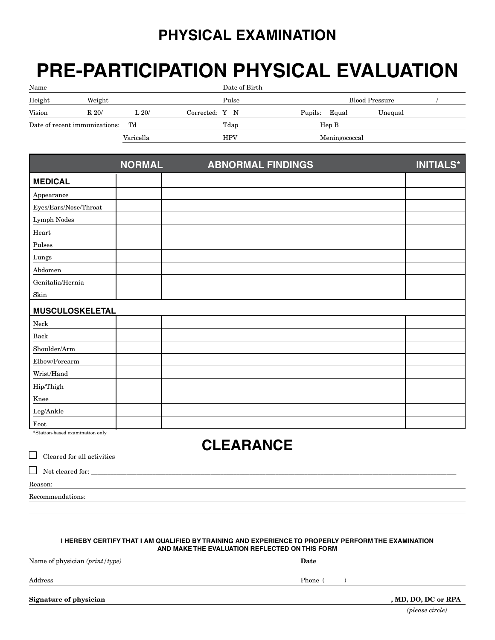## **PHYSICAL EXAMINATION**

# **PRE-PARTICIPATION PHYSICAL EVALUATION**

| Name                                |      |                  | Date of Birth  |                       |         |
|-------------------------------------|------|------------------|----------------|-----------------------|---------|
| Height<br>Weight                    |      | Pulse            |                | <b>Blood Pressure</b> |         |
| Vision                              | R20/ | $\mathrm{L}~20/$ | Corrected: Y N | Pupils: Equal         | Unequal |
| Td<br>Date of recent immunizations: |      | Tdap             | HepB           |                       |         |
|                                     |      | Varicella        | <b>HPV</b>     | Meningococcal         |         |

|                              | <b>NORMAL</b> | <b>ABNORMAL FINDINGS</b> | <b>INITIALS*</b> |  |  |
|------------------------------|---------------|--------------------------|------------------|--|--|
| <b>MEDICAL</b>               |               |                          |                  |  |  |
| Appearance                   |               |                          |                  |  |  |
| $\rm Eyes/Ears/Noise/Throat$ |               |                          |                  |  |  |
| ${\rm Lymph}$ Nodes          |               |                          |                  |  |  |
| Heart                        |               |                          |                  |  |  |
| Pulses                       |               |                          |                  |  |  |
| ${\rm Lungs}$                |               |                          |                  |  |  |
| Abdomen                      |               |                          |                  |  |  |
| Genitalia/Hernia             |               |                          |                  |  |  |
| $\operatorname{Skin}$        |               |                          |                  |  |  |
| <b>MUSCULOSKELETAL</b>       |               |                          |                  |  |  |
| ${\rm Neck}$                 |               |                          |                  |  |  |
| Back                         |               |                          |                  |  |  |
| Shoulder/Arm                 |               |                          |                  |  |  |
| Elbow/Forearm                |               |                          |                  |  |  |
| Wrist/Hand                   |               |                          |                  |  |  |
| Hip/Thigh                    |               |                          |                  |  |  |
| Knee                         |               |                          |                  |  |  |
| ${\rm Leg/Ankle}$            |               |                          |                  |  |  |
| Foot                         |               |                          |                  |  |  |

\*Station-based examination only

## **CLEARANCE**

| Cleared for all activities<br>$\mathbf{1}$ |  |
|--------------------------------------------|--|
| $\Box$ Not cleared for:                    |  |
| Reason:                                    |  |
| Recommendations:                           |  |

#### **I hereby certify that I am qualified by training and experience to properly perform the examination and make the evaluation reflected on this form**

Name of physician *(print/type)* **Date**

Address Phone ( )

**Signature of physician , MD, DO, DC or RPA**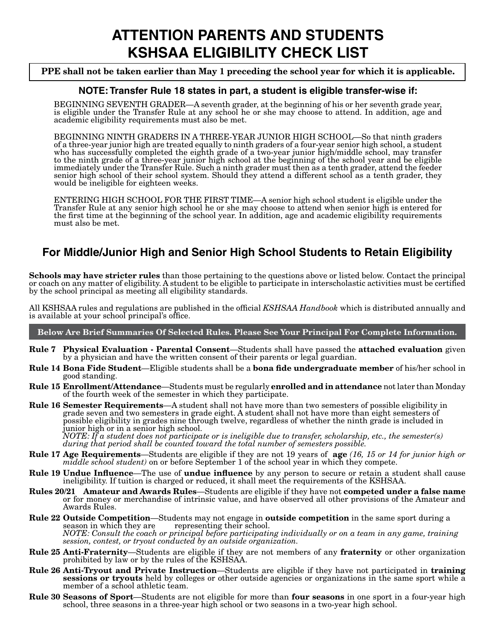## **ATTENTION PARENTS AND STUDENTS KSHSAA ELIGIBILITY CHECK LIST**

#### **PPE shall not be taken earlier than May 1 preceding the school year for which it is applicable.**

#### **NOTE: Transfer Rule 18 states in part, a student is eligible transfer-wise if:**

BEGINNING SEVENTH GRADER—A seventh grader, at the beginning of his or her seventh grade year, is eligible under the Transfer Rule at any school he or she may choose to attend. In addition, age and academic eligibility requirements must also be met.

BEGINNING NINTH GRADERS IN A THREE-YEAR JUNIOR HIGH SCHOOL—So that ninth graders of a three-year junior high are treated equally to ninth graders of a four-year senior high school, a student who has successfully completed the eighth grade of a two-year junior high/middle school, may transfer to the ninth grade of a three-year junior high school at the beginning of the school year and be eligible immediately under the Transfer Rule. Such a ninth grader must then as a tenth grader, attend the feeder senior high school of their school system. Should they attend a different school as a tenth grader, they would be ineligible for eighteen weeks.

ENTERING HIGH SCHOOL FOR THE FIRST TIME—A senior high school student is eligible under the Transfer Rule at any senior high school he or she may choose to attend when senior high is entered for the first time at the beginning of the school year. In addition, age and academic eligibility requirements must also be met.

### **For Middle/Junior High and Senior High School Students to Retain Eligibility**

**Schools may have stricter rules** than those pertaining to the questions above or listed below. Contact the principal or coach on any matter of eligibility. A student to be eligible to participate in interscholastic activities must be certified by the school principal as meeting all eligibility standards.

All KSHSAA rules and regulations are published in the official *KSHSAA Handbook* which is distributed annually and is available at your school principal's office.

**Below Are Brief Summaries Of Selected Rules. Please See Your Principal For Complete Information.**

- **Rule 7 Physical Evaluation Parental Consent**—Students shall have passed the **attached evaluation** given by a physician and have the written consent of their parents or legal guardian.
- **Rule 14 Bona Fide Student**—Eligible students shall be a **bona fide undergraduate member** of his/her school in good standing.
- **Rule 15 Enrollment/Attendance**—Students must be regularly **enrolled and in attendance** not later than Monday of the fourth week of the semester in which they participate.
- **Rule 16 Semester Requirements**—A student shall not have more than two semesters of possible eligibility in grade seven and two semesters in grade eight. A student shall not have more than eight semesters of possible eligibility in grades nine through twelve, regardless of whether the ninth grade is included in junior high or in a senior high school.

*NOTE: If a student does not participate or is ineligible due to transfer, scholarship, etc., the semester(s) during that period shall be counted toward the total number of semesters possible.*

- **Rule 17 Age Requirements**—Students are eligible if they are not 19 years of **age** *(16, 15 or 14 for junior high or middle school student)* on or before September 1 of the school year in which they compete.
- **Rule 19 Undue Influence**—The use of **undue influence** by any person to secure or retain a student shall cause ineligibility. If tuition is charged or reduced, it shall meet the requirements of the KSHSAA.
- **Rules 20/21 Amateur and Awards Rules**—Students are eligible if they have not **competed under a false name** or for money or merchandise of intrinsic value, and have observed all other provisions of the Amateur and Awards Rules.
- **Rule 22 Outside Competition**—Students may not engage in **outside competition** in the same sport during a representing their school. *NOTE: Consult the coach or principal before participating individually or on a team in any game, training session, contest, or tryout conducted by an outside organization.*
- **Rule 25 Anti-Fraternity**—Students are eligible if they are not members of any **fraternity** or other organization prohibited by law or by the rules of the KSHSAA.
- **Rule 26 Anti-Tryout and Private Instruction**—Students are eligible if they have not participated in **training sessions or tryouts** held by colleges or other outside agencies or organizations in the same sport while a member of a school athletic team.
- **Rule 30 Seasons of Sport**—Students are not eligible for more than **four seasons** in one sport in a four-year high school, three seasons in a three-year high school or two seasons in a two-year high school.